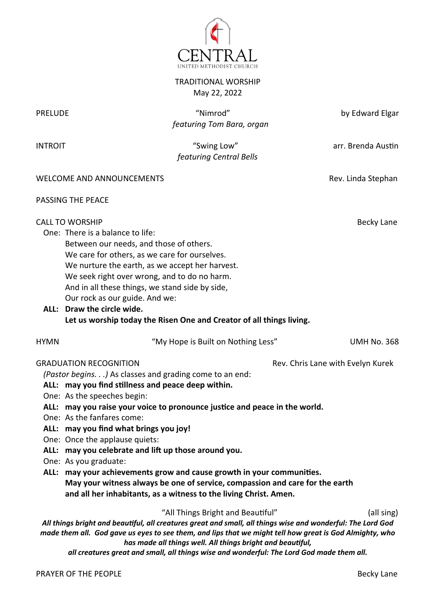

TRADITIONAL WORSHIP May 22, 2022

| <b>PRELUDE</b>                                                                                                                                                                                                                                                                                                                                                                                                                                                                                                                                                                                                                                                                                                            | "Nimrod"<br>featuring Tom Bara, organ                                                                                                                                                                                                                                                                                                                                                                                                                | by Edward Elgar    |  |  |
|---------------------------------------------------------------------------------------------------------------------------------------------------------------------------------------------------------------------------------------------------------------------------------------------------------------------------------------------------------------------------------------------------------------------------------------------------------------------------------------------------------------------------------------------------------------------------------------------------------------------------------------------------------------------------------------------------------------------------|------------------------------------------------------------------------------------------------------------------------------------------------------------------------------------------------------------------------------------------------------------------------------------------------------------------------------------------------------------------------------------------------------------------------------------------------------|--------------------|--|--|
| <b>INTROIT</b>                                                                                                                                                                                                                                                                                                                                                                                                                                                                                                                                                                                                                                                                                                            | "Swing Low"<br>featuring Central Bells                                                                                                                                                                                                                                                                                                                                                                                                               | arr. Brenda Austin |  |  |
|                                                                                                                                                                                                                                                                                                                                                                                                                                                                                                                                                                                                                                                                                                                           | <b>WELCOME AND ANNOUNCEMENTS</b>                                                                                                                                                                                                                                                                                                                                                                                                                     | Rev. Linda Stephan |  |  |
|                                                                                                                                                                                                                                                                                                                                                                                                                                                                                                                                                                                                                                                                                                                           | PASSING THE PEACE                                                                                                                                                                                                                                                                                                                                                                                                                                    |                    |  |  |
|                                                                                                                                                                                                                                                                                                                                                                                                                                                                                                                                                                                                                                                                                                                           | <b>CALL TO WORSHIP</b><br>One: There is a balance to life:<br>Between our needs, and those of others.<br>We care for others, as we care for ourselves.<br>We nurture the earth, as we accept her harvest.<br>We seek right over wrong, and to do no harm.<br>And in all these things, we stand side by side,<br>Our rock as our guide. And we:<br>ALL: Draw the circle wide.<br>Let us worship today the Risen One and Creator of all things living. | <b>Becky Lane</b>  |  |  |
| <b>HYMN</b>                                                                                                                                                                                                                                                                                                                                                                                                                                                                                                                                                                                                                                                                                                               | "My Hope is Built on Nothing Less"                                                                                                                                                                                                                                                                                                                                                                                                                   | <b>UMH No. 368</b> |  |  |
| <b>GRADUATION RECOGNITION</b><br>Rev. Chris Lane with Evelyn Kurek<br>(Pastor begins.) As classes and grading come to an end:<br>ALL: may you find stillness and peace deep within.<br>One: As the speeches begin:<br>ALL: may you raise your voice to pronounce justice and peace in the world.<br>One: As the fanfares come:<br>ALL: may you find what brings you joy!<br>One: Once the applause quiets:<br>ALL: may you celebrate and lift up those around you.<br>One: As you graduate:<br>ALL: may your achievements grow and cause growth in your communities.<br>May your witness always be one of service, compassion and care for the earth<br>and all her inhabitants, as a witness to the living Christ. Amen. |                                                                                                                                                                                                                                                                                                                                                                                                                                                      |                    |  |  |
| "All Things Bright and Beautiful"<br>(all sing)<br>All things bright and beautiful, all creatures great and small, all things wise and wonderful: The Lord God<br>made them all. God gave us eyes to see them, and lips that we might tell how great is God Almighty, who<br>has made all things well. All things bright and beautiful,                                                                                                                                                                                                                                                                                                                                                                                   |                                                                                                                                                                                                                                                                                                                                                                                                                                                      |                    |  |  |

*all creatures great and small, all things wise and wonderful: The Lord God made them all.*